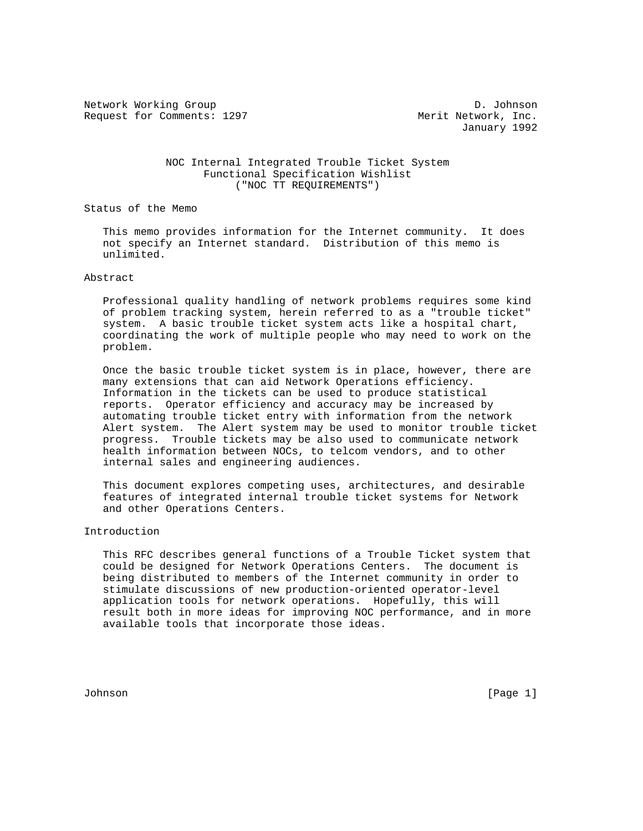Network Working Group D. Johnson Request for Comments: 1297 Merit Network, Inc.

January 1992

## NOC Internal Integrated Trouble Ticket System Functional Specification Wishlist ("NOC TT REQUIREMENTS")

Status of the Memo

 This memo provides information for the Internet community. It does not specify an Internet standard. Distribution of this memo is unlimited.

### Abstract

 Professional quality handling of network problems requires some kind of problem tracking system, herein referred to as a "trouble ticket" system. A basic trouble ticket system acts like a hospital chart, coordinating the work of multiple people who may need to work on the problem.

 Once the basic trouble ticket system is in place, however, there are many extensions that can aid Network Operations efficiency. Information in the tickets can be used to produce statistical reports. Operator efficiency and accuracy may be increased by automating trouble ticket entry with information from the network Alert system. The Alert system may be used to monitor trouble ticket progress. Trouble tickets may be also used to communicate network health information between NOCs, to telcom vendors, and to other internal sales and engineering audiences.

 This document explores competing uses, architectures, and desirable features of integrated internal trouble ticket systems for Network and other Operations Centers.

### Introduction

 This RFC describes general functions of a Trouble Ticket system that could be designed for Network Operations Centers. The document is being distributed to members of the Internet community in order to stimulate discussions of new production-oriented operator-level application tools for network operations. Hopefully, this will result both in more ideas for improving NOC performance, and in more available tools that incorporate those ideas.

Johnson [Page 1]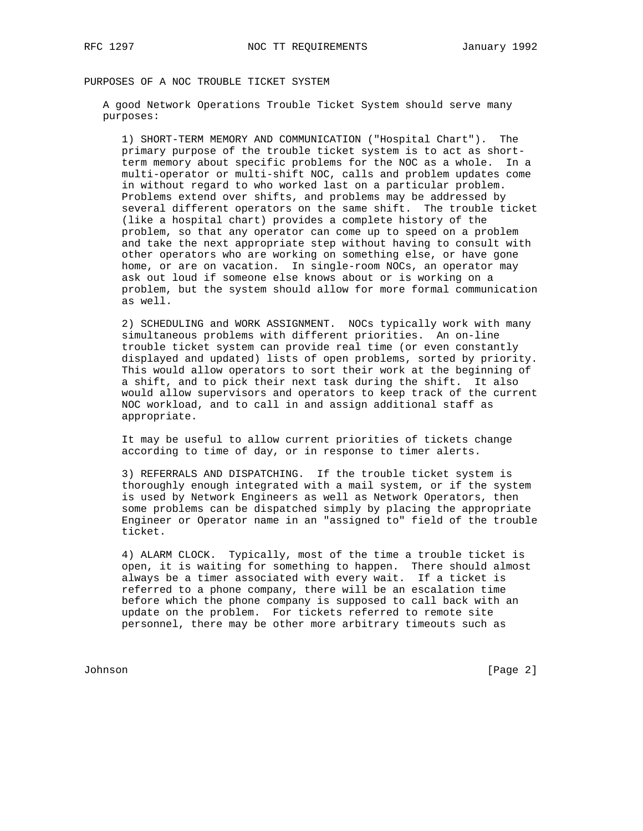# PURPOSES OF A NOC TROUBLE TICKET SYSTEM

 A good Network Operations Trouble Ticket System should serve many purposes:

 1) SHORT-TERM MEMORY AND COMMUNICATION ("Hospital Chart"). The primary purpose of the trouble ticket system is to act as short term memory about specific problems for the NOC as a whole. In a multi-operator or multi-shift NOC, calls and problem updates come in without regard to who worked last on a particular problem. Problems extend over shifts, and problems may be addressed by several different operators on the same shift. The trouble ticket (like a hospital chart) provides a complete history of the problem, so that any operator can come up to speed on a problem and take the next appropriate step without having to consult with other operators who are working on something else, or have gone home, or are on vacation. In single-room NOCs, an operator may ask out loud if someone else knows about or is working on a problem, but the system should allow for more formal communication as well.

 2) SCHEDULING and WORK ASSIGNMENT. NOCs typically work with many simultaneous problems with different priorities. An on-line trouble ticket system can provide real time (or even constantly displayed and updated) lists of open problems, sorted by priority. This would allow operators to sort their work at the beginning of a shift, and to pick their next task during the shift. It also would allow supervisors and operators to keep track of the current NOC workload, and to call in and assign additional staff as appropriate.

 It may be useful to allow current priorities of tickets change according to time of day, or in response to timer alerts.

 3) REFERRALS AND DISPATCHING. If the trouble ticket system is thoroughly enough integrated with a mail system, or if the system is used by Network Engineers as well as Network Operators, then some problems can be dispatched simply by placing the appropriate Engineer or Operator name in an "assigned to" field of the trouble ticket.

 4) ALARM CLOCK. Typically, most of the time a trouble ticket is open, it is waiting for something to happen. There should almost always be a timer associated with every wait. If a ticket is referred to a phone company, there will be an escalation time before which the phone company is supposed to call back with an update on the problem. For tickets referred to remote site personnel, there may be other more arbitrary timeouts such as

Johnson [Page 2]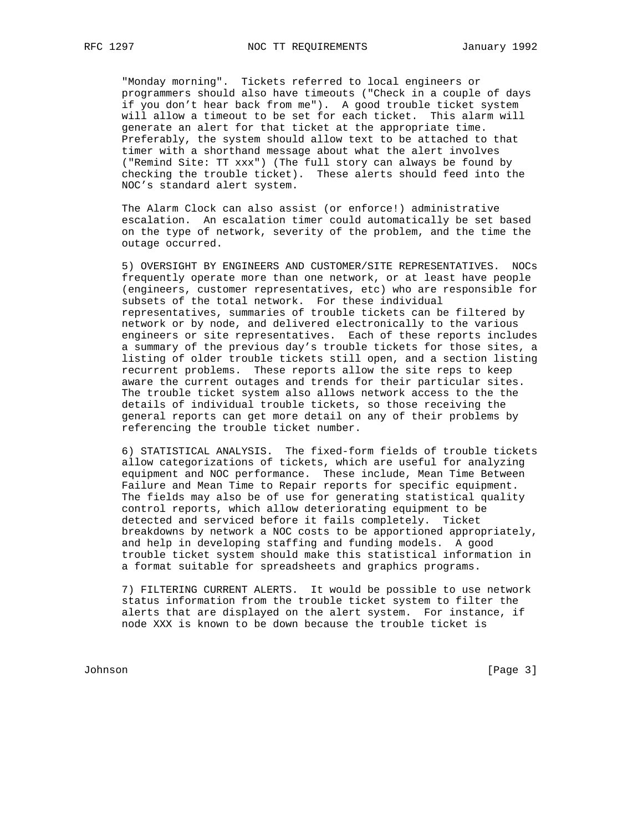"Monday morning". Tickets referred to local engineers or programmers should also have timeouts ("Check in a couple of days if you don't hear back from me"). A good trouble ticket system will allow a timeout to be set for each ticket. This alarm will generate an alert for that ticket at the appropriate time. Preferably, the system should allow text to be attached to that timer with a shorthand message about what the alert involves ("Remind Site: TT xxx") (The full story can always be found by checking the trouble ticket). These alerts should feed into the NOC's standard alert system.

 The Alarm Clock can also assist (or enforce!) administrative escalation. An escalation timer could automatically be set based on the type of network, severity of the problem, and the time the outage occurred.

 5) OVERSIGHT BY ENGINEERS AND CUSTOMER/SITE REPRESENTATIVES. NOCs frequently operate more than one network, or at least have people (engineers, customer representatives, etc) who are responsible for subsets of the total network. For these individual representatives, summaries of trouble tickets can be filtered by network or by node, and delivered electronically to the various engineers or site representatives. Each of these reports includes a summary of the previous day's trouble tickets for those sites, a listing of older trouble tickets still open, and a section listing recurrent problems. These reports allow the site reps to keep aware the current outages and trends for their particular sites. The trouble ticket system also allows network access to the the details of individual trouble tickets, so those receiving the general reports can get more detail on any of their problems by referencing the trouble ticket number.

 6) STATISTICAL ANALYSIS. The fixed-form fields of trouble tickets allow categorizations of tickets, which are useful for analyzing equipment and NOC performance. These include, Mean Time Between Failure and Mean Time to Repair reports for specific equipment. The fields may also be of use for generating statistical quality control reports, which allow deteriorating equipment to be detected and serviced before it fails completely. Ticket breakdowns by network a NOC costs to be apportioned appropriately, and help in developing staffing and funding models. A good trouble ticket system should make this statistical information in a format suitable for spreadsheets and graphics programs.

 7) FILTERING CURRENT ALERTS. It would be possible to use network status information from the trouble ticket system to filter the alerts that are displayed on the alert system. For instance, if node XXX is known to be down because the trouble ticket is

Johnson [Page 3]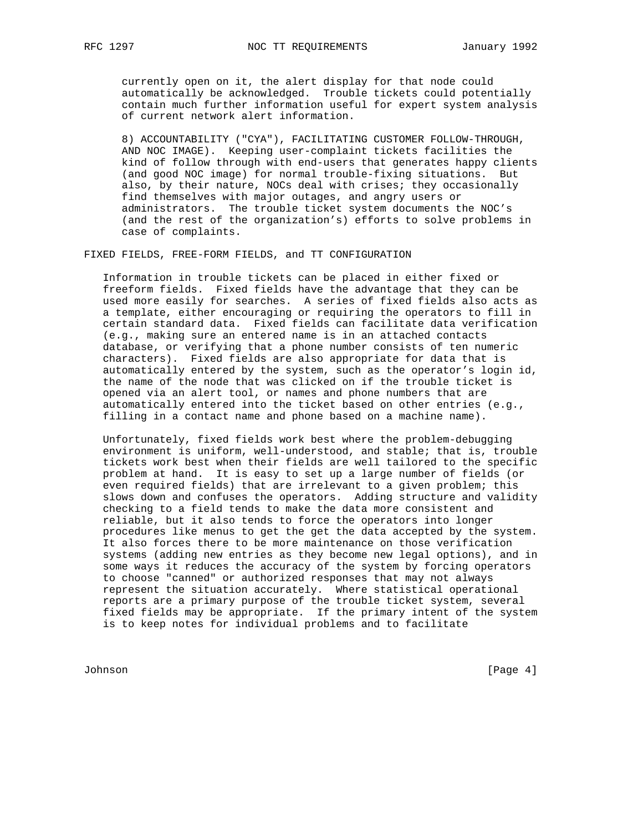currently open on it, the alert display for that node could automatically be acknowledged. Trouble tickets could potentially contain much further information useful for expert system analysis of current network alert information.

 8) ACCOUNTABILITY ("CYA"), FACILITATING CUSTOMER FOLLOW-THROUGH, AND NOC IMAGE). Keeping user-complaint tickets facilities the kind of follow through with end-users that generates happy clients (and good NOC image) for normal trouble-fixing situations. But also, by their nature, NOCs deal with crises; they occasionally find themselves with major outages, and angry users or administrators. The trouble ticket system documents the NOC's (and the rest of the organization's) efforts to solve problems in case of complaints.

FIXED FIELDS, FREE-FORM FIELDS, and TT CONFIGURATION

 Information in trouble tickets can be placed in either fixed or freeform fields. Fixed fields have the advantage that they can be used more easily for searches. A series of fixed fields also acts as a template, either encouraging or requiring the operators to fill in certain standard data. Fixed fields can facilitate data verification (e.g., making sure an entered name is in an attached contacts database, or verifying that a phone number consists of ten numeric characters). Fixed fields are also appropriate for data that is automatically entered by the system, such as the operator's login id, the name of the node that was clicked on if the trouble ticket is opened via an alert tool, or names and phone numbers that are automatically entered into the ticket based on other entries (e.g., filling in a contact name and phone based on a machine name).

 Unfortunately, fixed fields work best where the problem-debugging environment is uniform, well-understood, and stable; that is, trouble tickets work best when their fields are well tailored to the specific problem at hand. It is easy to set up a large number of fields (or even required fields) that are irrelevant to a given problem; this slows down and confuses the operators. Adding structure and validity checking to a field tends to make the data more consistent and reliable, but it also tends to force the operators into longer procedures like menus to get the get the data accepted by the system. It also forces there to be more maintenance on those verification systems (adding new entries as they become new legal options), and in some ways it reduces the accuracy of the system by forcing operators to choose "canned" or authorized responses that may not always represent the situation accurately. Where statistical operational reports are a primary purpose of the trouble ticket system, several fixed fields may be appropriate. If the primary intent of the system is to keep notes for individual problems and to facilitate

Johnson [Page 4]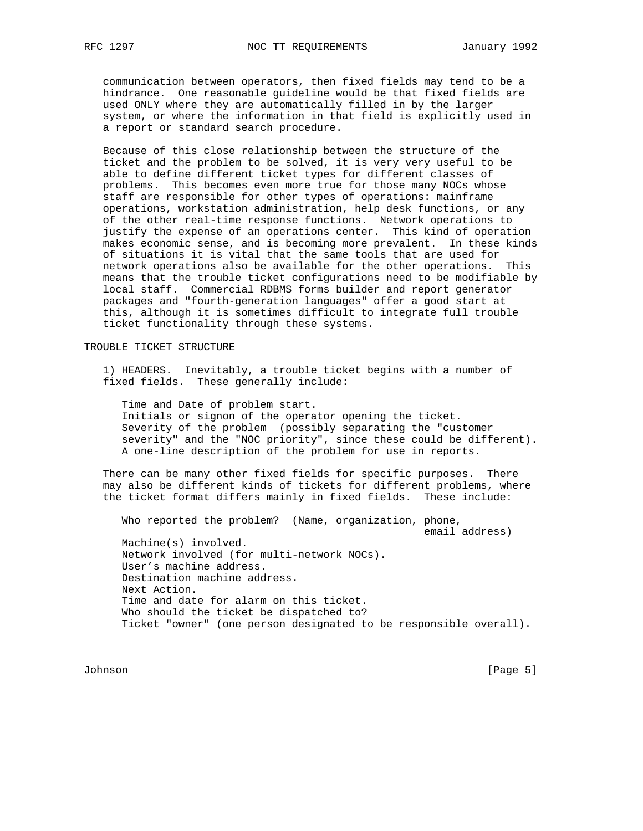communication between operators, then fixed fields may tend to be a hindrance. One reasonable guideline would be that fixed fields are used ONLY where they are automatically filled in by the larger system, or where the information in that field is explicitly used in a report or standard search procedure.

 Because of this close relationship between the structure of the ticket and the problem to be solved, it is very very useful to be able to define different ticket types for different classes of problems. This becomes even more true for those many NOCs whose staff are responsible for other types of operations: mainframe operations, workstation administration, help desk functions, or any of the other real-time response functions. Network operations to justify the expense of an operations center. This kind of operation makes economic sense, and is becoming more prevalent. In these kinds of situations it is vital that the same tools that are used for network operations also be available for the other operations. This means that the trouble ticket configurations need to be modifiable by local staff. Commercial RDBMS forms builder and report generator packages and "fourth-generation languages" offer a good start at this, although it is sometimes difficult to integrate full trouble ticket functionality through these systems.

## TROUBLE TICKET STRUCTURE

 1) HEADERS. Inevitably, a trouble ticket begins with a number of fixed fields. These generally include:

 Time and Date of problem start. Initials or signon of the operator opening the ticket. Severity of the problem (possibly separating the "customer severity" and the "NOC priority", since these could be different). A one-line description of the problem for use in reports.

 There can be many other fixed fields for specific purposes. There may also be different kinds of tickets for different problems, where the ticket format differs mainly in fixed fields. These include:

 Who reported the problem? (Name, organization, phone, email address) Machine(s) involved. Network involved (for multi-network NOCs). User's machine address. Destination machine address. Next Action. Time and date for alarm on this ticket. Who should the ticket be dispatched to? Ticket "owner" (one person designated to be responsible overall).

Johnson [Page 5]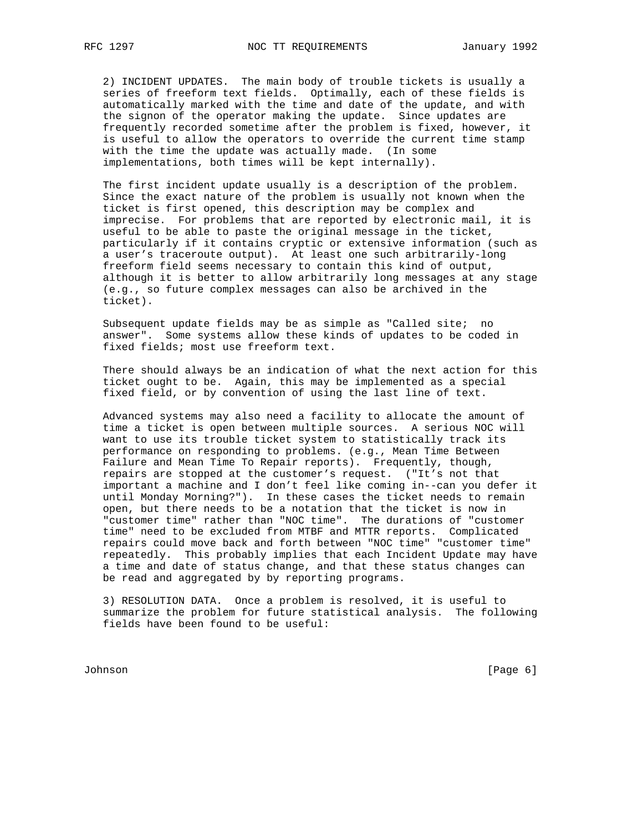2) INCIDENT UPDATES. The main body of trouble tickets is usually a series of freeform text fields. Optimally, each of these fields is automatically marked with the time and date of the update, and with the signon of the operator making the update. Since updates are frequently recorded sometime after the problem is fixed, however, it is useful to allow the operators to override the current time stamp with the time the update was actually made. (In some implementations, both times will be kept internally).

 The first incident update usually is a description of the problem. Since the exact nature of the problem is usually not known when the ticket is first opened, this description may be complex and imprecise. For problems that are reported by electronic mail, it is useful to be able to paste the original message in the ticket, particularly if it contains cryptic or extensive information (such as a user's traceroute output). At least one such arbitrarily-long freeform field seems necessary to contain this kind of output, although it is better to allow arbitrarily long messages at any stage (e.g., so future complex messages can also be archived in the ticket).

 Subsequent update fields may be as simple as "Called site; no answer". Some systems allow these kinds of updates to be coded in fixed fields; most use freeform text.

 There should always be an indication of what the next action for this ticket ought to be. Again, this may be implemented as a special fixed field, or by convention of using the last line of text.

 Advanced systems may also need a facility to allocate the amount of time a ticket is open between multiple sources. A serious NOC will want to use its trouble ticket system to statistically track its performance on responding to problems. (e.g., Mean Time Between Failure and Mean Time To Repair reports). Frequently, though, repairs are stopped at the customer's request. ("It's not that important a machine and I don't feel like coming in--can you defer it until Monday Morning?"). In these cases the ticket needs to remain open, but there needs to be a notation that the ticket is now in "customer time" rather than "NOC time". The durations of "customer time" need to be excluded from MTBF and MTTR reports. Complicated repairs could move back and forth between "NOC time" "customer time" repeatedly. This probably implies that each Incident Update may have a time and date of status change, and that these status changes can be read and aggregated by by reporting programs.

 3) RESOLUTION DATA. Once a problem is resolved, it is useful to summarize the problem for future statistical analysis. The following fields have been found to be useful:

Johnson [Page 6]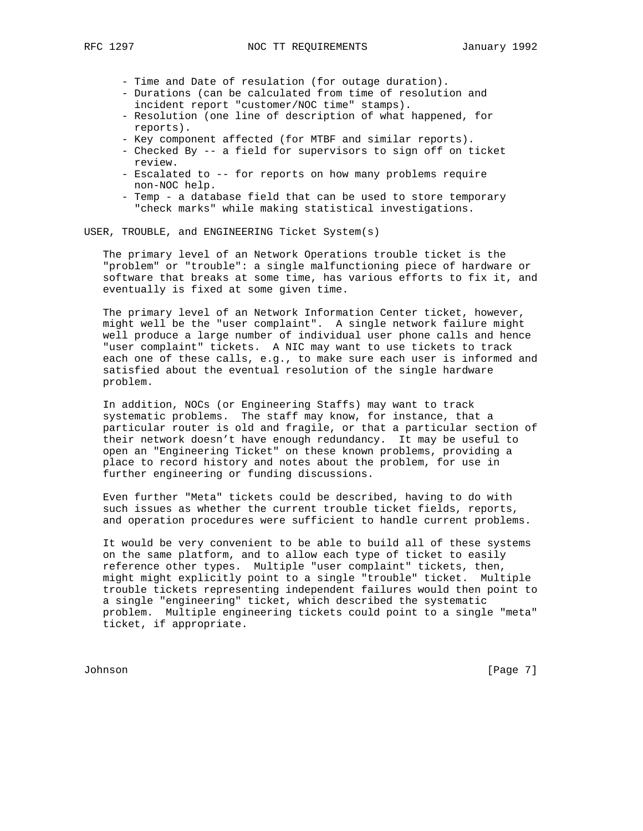- Time and Date of resulation (for outage duration).
- Durations (can be calculated from time of resolution and incident report "customer/NOC time" stamps).
- Resolution (one line of description of what happened, for reports).
- Key component affected (for MTBF and similar reports).
- Checked By -- a field for supervisors to sign off on ticket review.
- Escalated to -- for reports on how many problems require non-NOC help.
- Temp a database field that can be used to store temporary "check marks" while making statistical investigations.

USER, TROUBLE, and ENGINEERING Ticket System(s)

 The primary level of an Network Operations trouble ticket is the "problem" or "trouble": a single malfunctioning piece of hardware or software that breaks at some time, has various efforts to fix it, and eventually is fixed at some given time.

 The primary level of an Network Information Center ticket, however, might well be the "user complaint". A single network failure might well produce a large number of individual user phone calls and hence "user complaint" tickets. A NIC may want to use tickets to track each one of these calls, e.g., to make sure each user is informed and satisfied about the eventual resolution of the single hardware problem.

 In addition, NOCs (or Engineering Staffs) may want to track systematic problems. The staff may know, for instance, that a particular router is old and fragile, or that a particular section of their network doesn't have enough redundancy. It may be useful to open an "Engineering Ticket" on these known problems, providing a place to record history and notes about the problem, for use in further engineering or funding discussions.

 Even further "Meta" tickets could be described, having to do with such issues as whether the current trouble ticket fields, reports, and operation procedures were sufficient to handle current problems.

 It would be very convenient to be able to build all of these systems on the same platform, and to allow each type of ticket to easily reference other types. Multiple "user complaint" tickets, then, might might explicitly point to a single "trouble" ticket. Multiple trouble tickets representing independent failures would then point to a single "engineering" ticket, which described the systematic problem. Multiple engineering tickets could point to a single "meta" ticket, if appropriate.

Johnson [Page 7]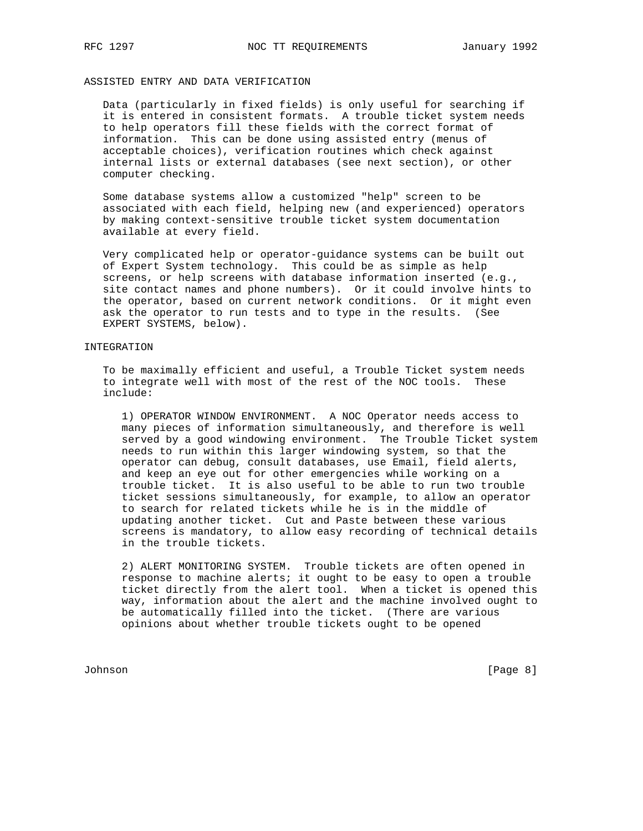# ASSISTED ENTRY AND DATA VERIFICATION

 Data (particularly in fixed fields) is only useful for searching if it is entered in consistent formats. A trouble ticket system needs to help operators fill these fields with the correct format of information. This can be done using assisted entry (menus of acceptable choices), verification routines which check against internal lists or external databases (see next section), or other computer checking.

 Some database systems allow a customized "help" screen to be associated with each field, helping new (and experienced) operators by making context-sensitive trouble ticket system documentation available at every field.

 Very complicated help or operator-guidance systems can be built out of Expert System technology. This could be as simple as help screens, or help screens with database information inserted (e.g., site contact names and phone numbers). Or it could involve hints to the operator, based on current network conditions. Or it might even ask the operator to run tests and to type in the results. (See EXPERT SYSTEMS, below).

### INTEGRATION

 To be maximally efficient and useful, a Trouble Ticket system needs to integrate well with most of the rest of the NOC tools. These include:

 1) OPERATOR WINDOW ENVIRONMENT. A NOC Operator needs access to many pieces of information simultaneously, and therefore is well served by a good windowing environment. The Trouble Ticket system needs to run within this larger windowing system, so that the operator can debug, consult databases, use Email, field alerts, and keep an eye out for other emergencies while working on a trouble ticket. It is also useful to be able to run two trouble ticket sessions simultaneously, for example, to allow an operator to search for related tickets while he is in the middle of updating another ticket. Cut and Paste between these various screens is mandatory, to allow easy recording of technical details in the trouble tickets.

 2) ALERT MONITORING SYSTEM. Trouble tickets are often opened in response to machine alerts; it ought to be easy to open a trouble ticket directly from the alert tool. When a ticket is opened this way, information about the alert and the machine involved ought to be automatically filled into the ticket. (There are various opinions about whether trouble tickets ought to be opened

Johnson [Page 8]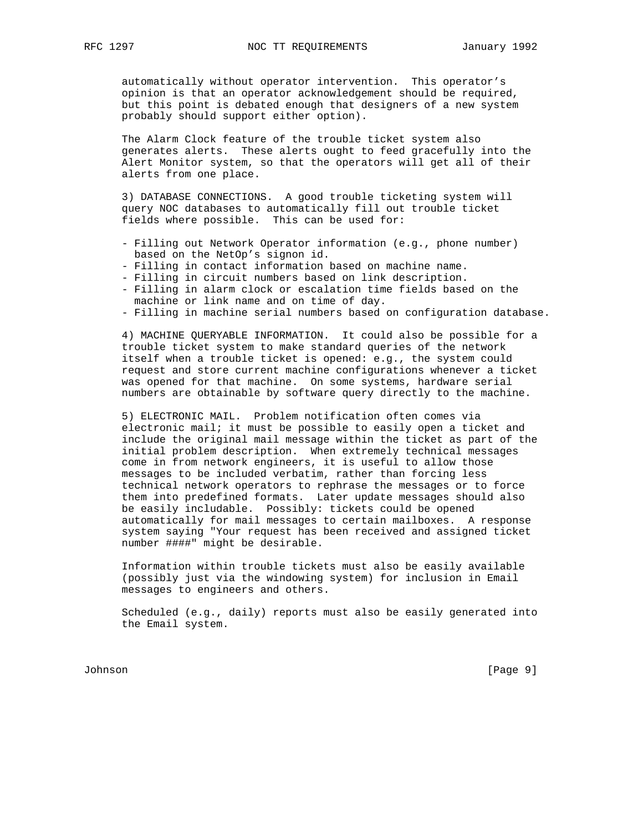automatically without operator intervention. This operator's opinion is that an operator acknowledgement should be required, but this point is debated enough that designers of a new system probably should support either option).

 The Alarm Clock feature of the trouble ticket system also generates alerts. These alerts ought to feed gracefully into the Alert Monitor system, so that the operators will get all of their alerts from one place.

 3) DATABASE CONNECTIONS. A good trouble ticketing system will query NOC databases to automatically fill out trouble ticket fields where possible. This can be used for:

- Filling out Network Operator information (e.g., phone number) based on the NetOp's signon id.
- Filling in contact information based on machine name.
- Filling in circuit numbers based on link description.
- Filling in alarm clock or escalation time fields based on the machine or link name and on time of day.
- Filling in machine serial numbers based on configuration database.

 4) MACHINE QUERYABLE INFORMATION. It could also be possible for a trouble ticket system to make standard queries of the network itself when a trouble ticket is opened: e.g., the system could request and store current machine configurations whenever a ticket was opened for that machine. On some systems, hardware serial numbers are obtainable by software query directly to the machine.

 5) ELECTRONIC MAIL. Problem notification often comes via electronic mail; it must be possible to easily open a ticket and include the original mail message within the ticket as part of the initial problem description. When extremely technical messages come in from network engineers, it is useful to allow those messages to be included verbatim, rather than forcing less technical network operators to rephrase the messages or to force them into predefined formats. Later update messages should also be easily includable. Possibly: tickets could be opened automatically for mail messages to certain mailboxes. A response system saying "Your request has been received and assigned ticket number ####" might be desirable.

 Information within trouble tickets must also be easily available (possibly just via the windowing system) for inclusion in Email messages to engineers and others.

 Scheduled (e.g., daily) reports must also be easily generated into the Email system.

Johnson [Page 9]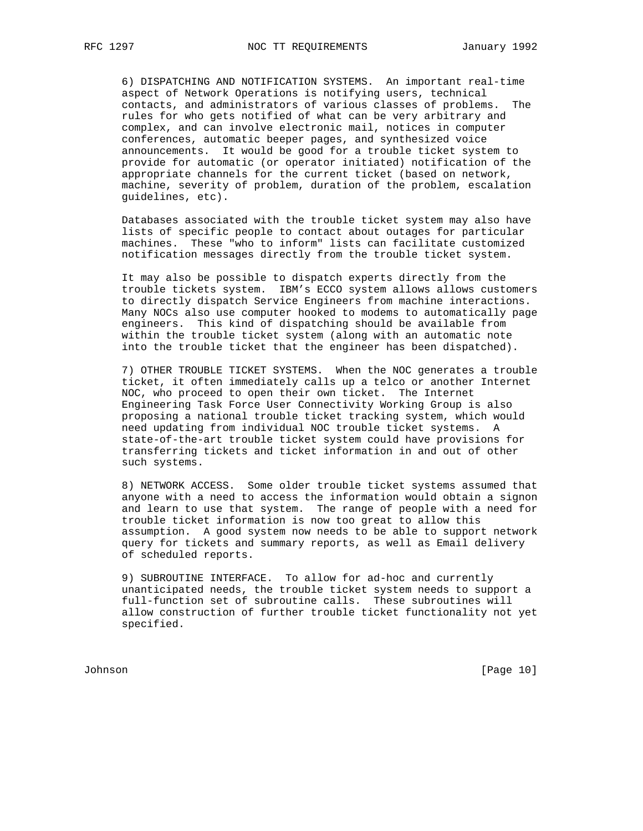6) DISPATCHING AND NOTIFICATION SYSTEMS. An important real-time aspect of Network Operations is notifying users, technical contacts, and administrators of various classes of problems. The rules for who gets notified of what can be very arbitrary and complex, and can involve electronic mail, notices in computer conferences, automatic beeper pages, and synthesized voice announcements. It would be good for a trouble ticket system to provide for automatic (or operator initiated) notification of the appropriate channels for the current ticket (based on network, machine, severity of problem, duration of the problem, escalation guidelines, etc).

 Databases associated with the trouble ticket system may also have lists of specific people to contact about outages for particular machines. These "who to inform" lists can facilitate customized notification messages directly from the trouble ticket system.

 It may also be possible to dispatch experts directly from the trouble tickets system. IBM's ECCO system allows allows customers to directly dispatch Service Engineers from machine interactions. Many NOCs also use computer hooked to modems to automatically page engineers. This kind of dispatching should be available from within the trouble ticket system (along with an automatic note into the trouble ticket that the engineer has been dispatched).

 7) OTHER TROUBLE TICKET SYSTEMS. When the NOC generates a trouble ticket, it often immediately calls up a telco or another Internet NOC, who proceed to open their own ticket. The Internet Engineering Task Force User Connectivity Working Group is also proposing a national trouble ticket tracking system, which would need updating from individual NOC trouble ticket systems. A state-of-the-art trouble ticket system could have provisions for transferring tickets and ticket information in and out of other such systems.

 8) NETWORK ACCESS. Some older trouble ticket systems assumed that anyone with a need to access the information would obtain a signon and learn to use that system. The range of people with a need for trouble ticket information is now too great to allow this assumption. A good system now needs to be able to support network query for tickets and summary reports, as well as Email delivery of scheduled reports.

 9) SUBROUTINE INTERFACE. To allow for ad-hoc and currently unanticipated needs, the trouble ticket system needs to support a full-function set of subroutine calls. These subroutines will allow construction of further trouble ticket functionality not yet specified.

Johnson [Page 10]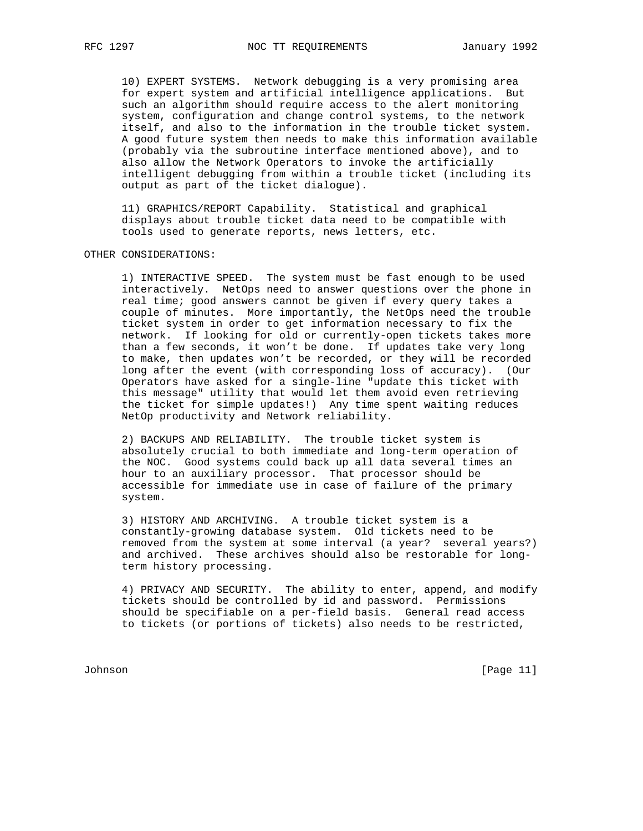10) EXPERT SYSTEMS. Network debugging is a very promising area for expert system and artificial intelligence applications. But such an algorithm should require access to the alert monitoring system, configuration and change control systems, to the network itself, and also to the information in the trouble ticket system. A good future system then needs to make this information available (probably via the subroutine interface mentioned above), and to also allow the Network Operators to invoke the artificially intelligent debugging from within a trouble ticket (including its output as part of the ticket dialogue).

 11) GRAPHICS/REPORT Capability. Statistical and graphical displays about trouble ticket data need to be compatible with tools used to generate reports, news letters, etc.

#### OTHER CONSIDERATIONS:

 1) INTERACTIVE SPEED. The system must be fast enough to be used interactively. NetOps need to answer questions over the phone in real time; good answers cannot be given if every query takes a couple of minutes. More importantly, the NetOps need the trouble ticket system in order to get information necessary to fix the network. If looking for old or currently-open tickets takes more than a few seconds, it won't be done. If updates take very long to make, then updates won't be recorded, or they will be recorded long after the event (with corresponding loss of accuracy). (Our Operators have asked for a single-line "update this ticket with this message" utility that would let them avoid even retrieving the ticket for simple updates!) Any time spent waiting reduces NetOp productivity and Network reliability.

 2) BACKUPS AND RELIABILITY. The trouble ticket system is absolutely crucial to both immediate and long-term operation of the NOC. Good systems could back up all data several times an hour to an auxiliary processor. That processor should be accessible for immediate use in case of failure of the primary system.

 3) HISTORY AND ARCHIVING. A trouble ticket system is a constantly-growing database system. Old tickets need to be removed from the system at some interval (a year? several years?) and archived. These archives should also be restorable for long term history processing.

 4) PRIVACY AND SECURITY. The ability to enter, append, and modify tickets should be controlled by id and password. Permissions should be specifiable on a per-field basis. General read access to tickets (or portions of tickets) also needs to be restricted,

Johnson [Page 11]